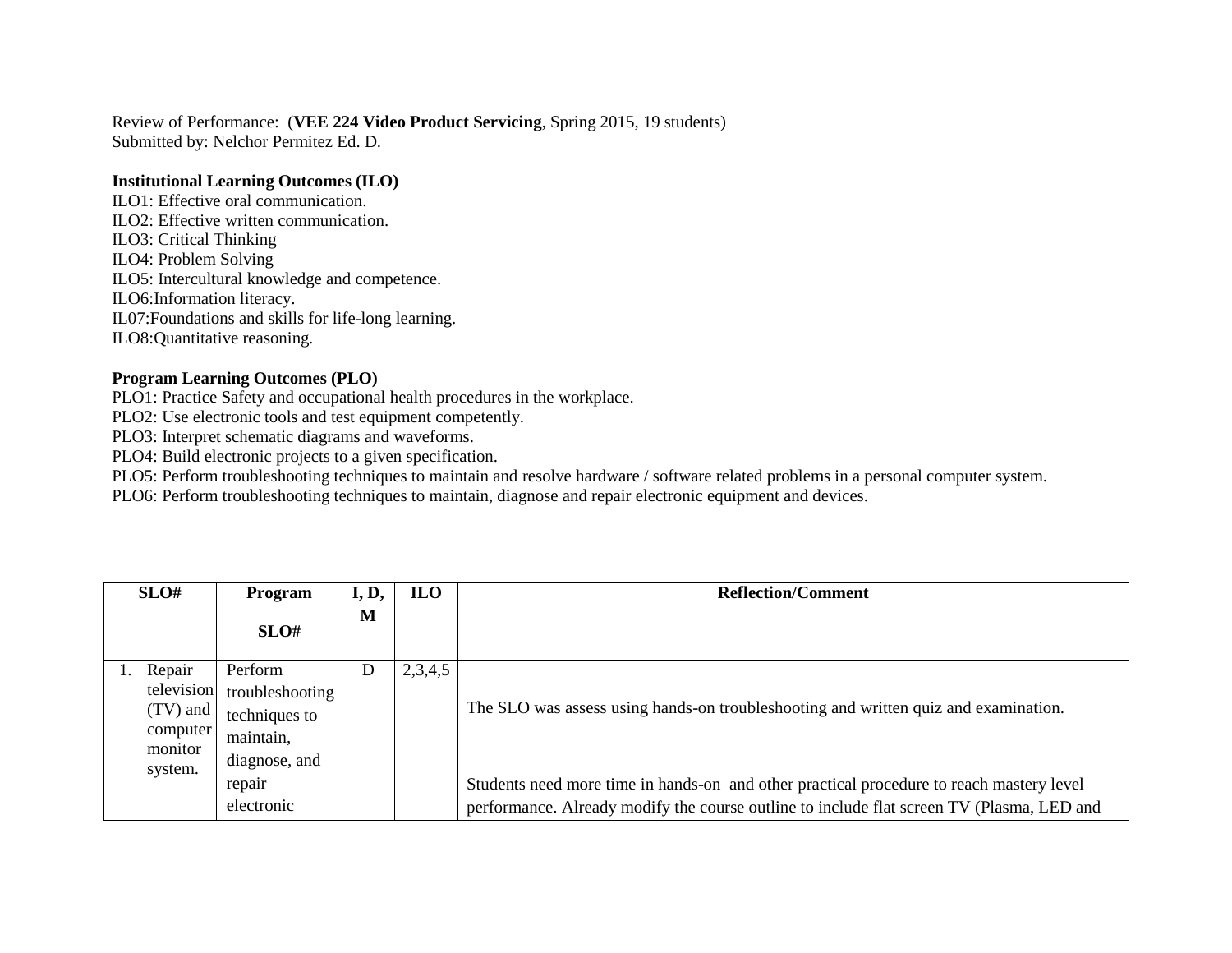Review of Performance: (**VEE 224 Video Product Servicing**, Spring 2015, 19 students) Submitted by: Nelchor Permitez Ed. D.

## **Institutional Learning Outcomes (ILO)**

ILO1: Effective oral communication. ILO2: Effective written communication. ILO3: Critical Thinking ILO4: Problem Solving ILO5: Intercultural knowledge and competence. ILO6:Information literacy. IL07:Foundations and skills for life-long learning. ILO8:Quantitative reasoning.

## **Program Learning Outcomes (PLO)**

PLO1: Practice Safety and occupational health procedures in the workplace.

PLO2: Use electronic tools and test equipment competently.

PLO3: Interpret schematic diagrams and waveforms.

PLO4: Build electronic projects to a given specification.

PLO5: Perform troubleshooting techniques to maintain and resolve hardware / software related problems in a personal computer system.

PLO6: Perform troubleshooting techniques to maintain, diagnose and repair electronic equipment and devices.

| SLO#                                                                  | <b>Program</b>                                                            | I, D, | <b>ILO</b> | <b>Reflection/Comment</b>                                                                                                                                                             |
|-----------------------------------------------------------------------|---------------------------------------------------------------------------|-------|------------|---------------------------------------------------------------------------------------------------------------------------------------------------------------------------------------|
|                                                                       | SLO#                                                                      | M     |            |                                                                                                                                                                                       |
| 1. Repair<br>television<br>(TV) and<br>computer<br>monitor<br>system. | Perform<br>troubleshooting<br>techniques to<br>maintain,<br>diagnose, and | D     | 2,3,4,5    | The SLO was assess using hands-on troubleshooting and written quiz and examination.                                                                                                   |
|                                                                       | repair<br>electronic                                                      |       |            | Students need more time in hands-on and other practical procedure to reach mastery level<br>performance. Already modify the course outline to include flat screen TV (Plasma, LED and |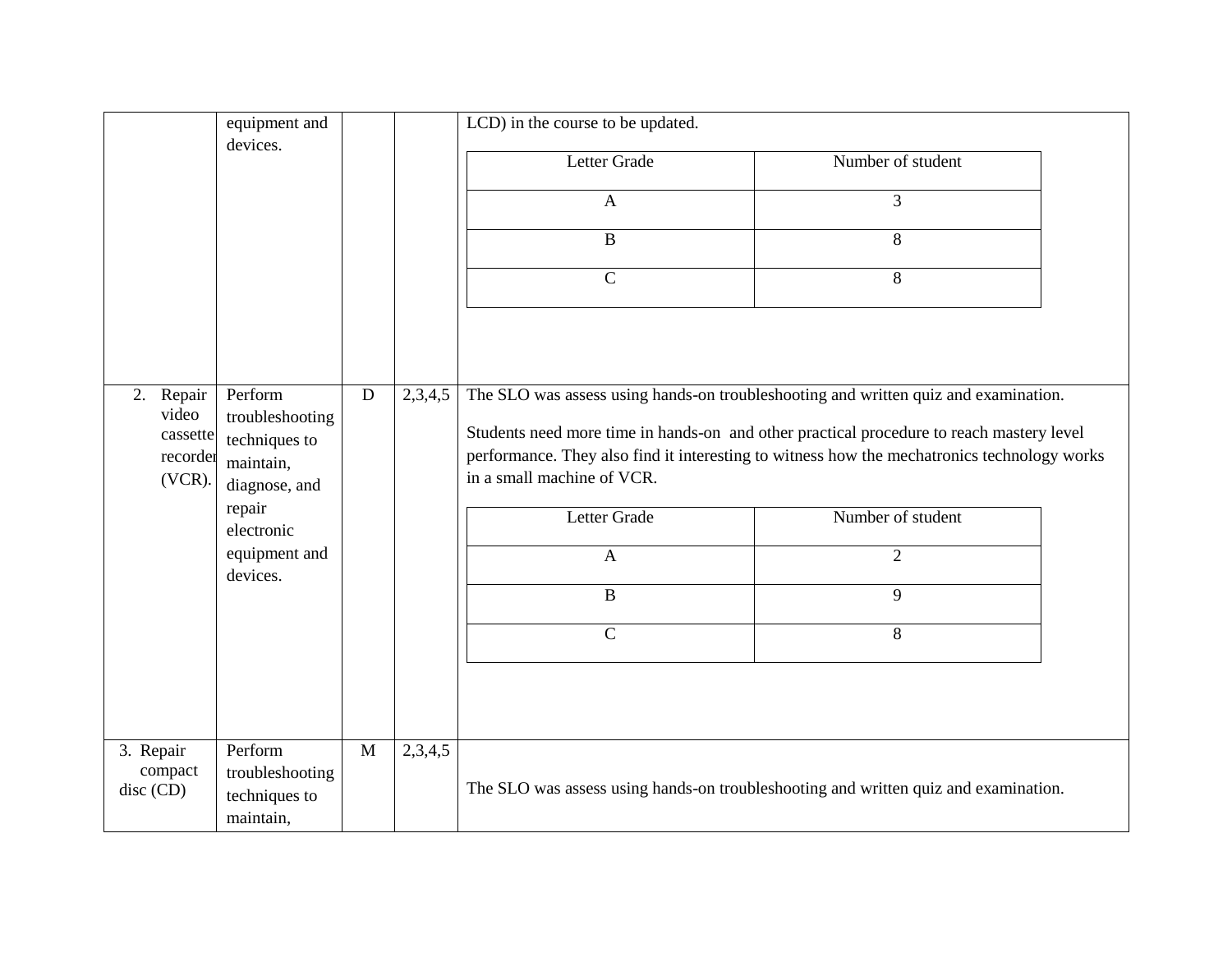|                                                      | equipment and                                                             |              |         | LCD) in the course to be updated.                                                                                                                                                                                                                                                                            |                   |  |
|------------------------------------------------------|---------------------------------------------------------------------------|--------------|---------|--------------------------------------------------------------------------------------------------------------------------------------------------------------------------------------------------------------------------------------------------------------------------------------------------------------|-------------------|--|
|                                                      | devices.                                                                  |              |         | Letter Grade                                                                                                                                                                                                                                                                                                 | Number of student |  |
|                                                      |                                                                           |              |         | $\mathbf{A}$                                                                                                                                                                                                                                                                                                 | 3                 |  |
|                                                      |                                                                           |              |         | $\bf{B}$                                                                                                                                                                                                                                                                                                     | 8                 |  |
|                                                      |                                                                           |              |         | $\mathbf C$                                                                                                                                                                                                                                                                                                  | 8                 |  |
|                                                      |                                                                           |              |         |                                                                                                                                                                                                                                                                                                              |                   |  |
| 2. Repair<br>video<br>cassette<br>recorder<br>(VCR). | Perform<br>troubleshooting<br>techniques to<br>maintain,<br>diagnose, and | D            | 2,3,4,5 | The SLO was assess using hands-on troubleshooting and written quiz and examination.<br>Students need more time in hands-on and other practical procedure to reach mastery level<br>performance. They also find it interesting to witness how the mechatronics technology works<br>in a small machine of VCR. |                   |  |
|                                                      | repair<br>electronic                                                      |              |         | Letter Grade                                                                                                                                                                                                                                                                                                 | Number of student |  |
|                                                      | equipment and<br>devices.                                                 |              |         | $\mathbf{A}$                                                                                                                                                                                                                                                                                                 | $\overline{2}$    |  |
|                                                      |                                                                           |              |         | $\bf{B}$                                                                                                                                                                                                                                                                                                     | 9                 |  |
|                                                      |                                                                           |              |         | $\mathbf C$                                                                                                                                                                                                                                                                                                  | 8                 |  |
|                                                      |                                                                           |              |         |                                                                                                                                                                                                                                                                                                              |                   |  |
| 3. Repair<br>compact<br>disc (CD)                    | Perform<br>troubleshooting<br>techniques to<br>maintain,                  | $\mathbf{M}$ | 2,3,4,5 | The SLO was assess using hands-on troubleshooting and written quiz and examination.                                                                                                                                                                                                                          |                   |  |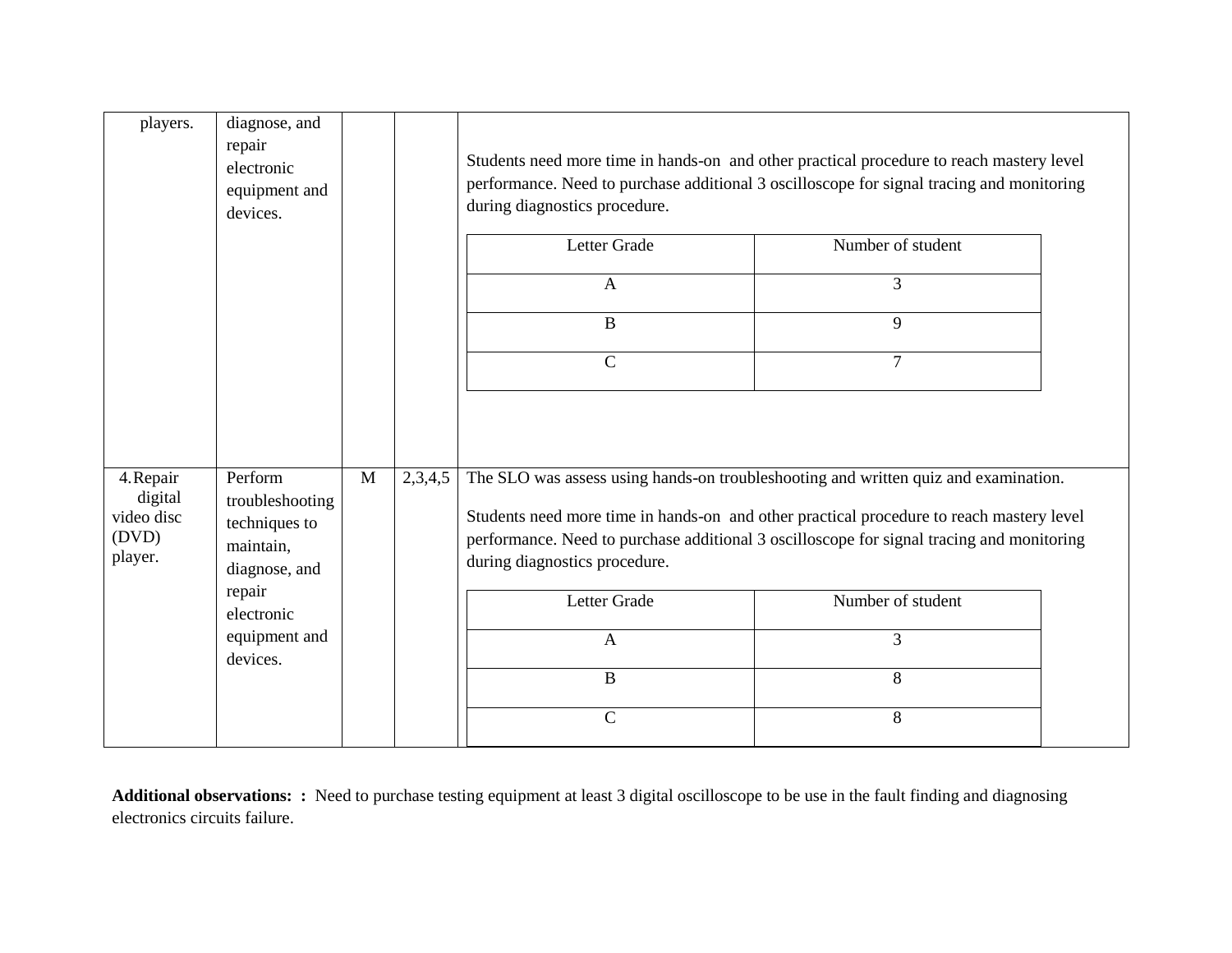| players.                                               | diagnose, and<br>repair<br>electronic<br>equipment and<br>devices.                                                             |   |         | Students need more time in hands-on and other practical procedure to reach mastery level<br>performance. Need to purchase additional 3 oscilloscope for signal tracing and monitoring<br>during diagnostics procedure. |                                                                                                                                                                                                                                                                                                                  |  |
|--------------------------------------------------------|--------------------------------------------------------------------------------------------------------------------------------|---|---------|------------------------------------------------------------------------------------------------------------------------------------------------------------------------------------------------------------------------|------------------------------------------------------------------------------------------------------------------------------------------------------------------------------------------------------------------------------------------------------------------------------------------------------------------|--|
|                                                        |                                                                                                                                |   |         | Letter Grade                                                                                                                                                                                                           | Number of student                                                                                                                                                                                                                                                                                                |  |
|                                                        |                                                                                                                                |   |         | $\overline{A}$                                                                                                                                                                                                         | 3                                                                                                                                                                                                                                                                                                                |  |
|                                                        |                                                                                                                                |   |         | $\bf{B}$                                                                                                                                                                                                               | 9                                                                                                                                                                                                                                                                                                                |  |
|                                                        |                                                                                                                                |   |         | $\mathbf C$                                                                                                                                                                                                            | $\overline{7}$                                                                                                                                                                                                                                                                                                   |  |
| 4. Repair<br>digital<br>video disc<br>(DVD)<br>player. | Perform<br>troubleshooting<br>techniques to<br>maintain,<br>diagnose, and<br>repair<br>electronic<br>equipment and<br>devices. | M | 2,3,4,5 | during diagnostics procedure.<br>Letter Grade<br>$\mathbf{A}$<br>$\, {\bf B}$<br>$\mathbf C$                                                                                                                           | The SLO was assess using hands-on troubleshooting and written quiz and examination.<br>Students need more time in hands-on and other practical procedure to reach mastery level<br>performance. Need to purchase additional 3 oscilloscope for signal tracing and monitoring<br>Number of student<br>3<br>8<br>8 |  |

**Additional observations: :** Need to purchase testing equipment at least 3 digital oscilloscope to be use in the fault finding and diagnosing electronics circuits failure.